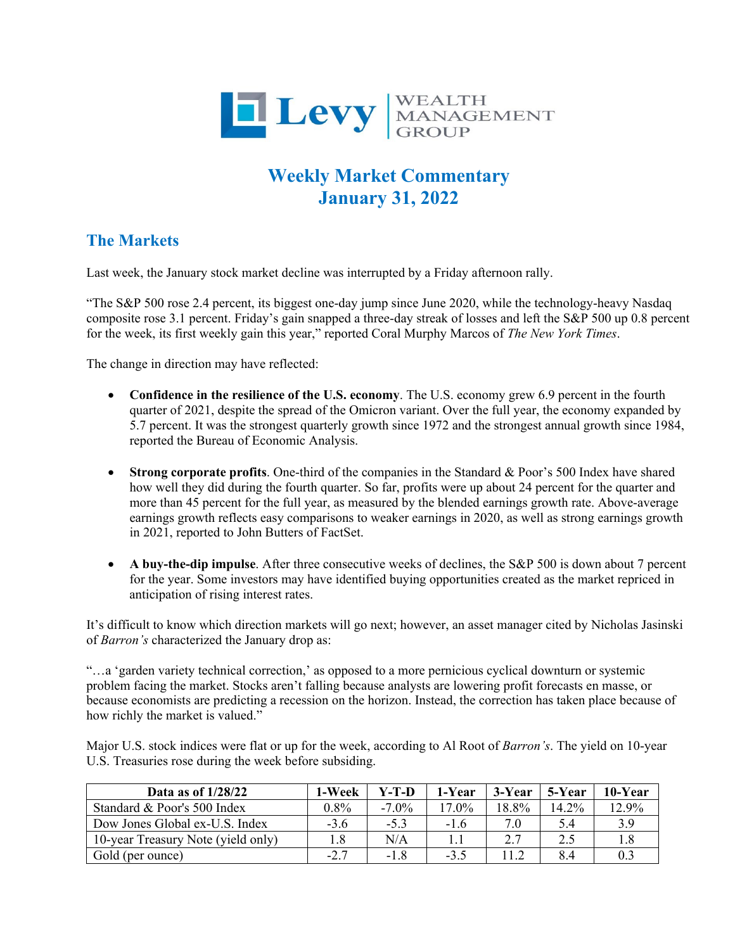

## **Weekly Market Commentary January 31, 2022**

## **The Markets**

Last week, the January stock market decline was interrupted by a Friday afternoon rally.

"The S&P 500 rose 2.4 percent, its biggest one-day jump since June 2020, while the technology-heavy Nasdaq composite rose 3.1 percent. Friday's gain snapped a three-day streak of losses and left the S&P 500 up 0.8 percent for the week, its first weekly gain this year," reported Coral Murphy Marcos of *The New York Times*.

The change in direction may have reflected:

- **Confidence in the resilience of the U.S. economy**. The U.S. economy grew 6.9 percent in the fourth quarter of 2021, despite the spread of the Omicron variant. Over the full year, the economy expanded by 5.7 percent. It was the strongest quarterly growth since 1972 and the strongest annual growth since 1984, reported the Bureau of Economic Analysis.
- **Strong corporate profits**. One-third of the companies in the Standard & Poor's 500 Index have shared how well they did during the fourth quarter. So far, profits were up about 24 percent for the quarter and more than 45 percent for the full year, as measured by the blended earnings growth rate. Above-average earnings growth reflects easy comparisons to weaker earnings in 2020, as well as strong earnings growth in 2021, reported to John Butters of FactSet.
- **A buy-the-dip impulse**. After three consecutive weeks of declines, the S&P 500 is down about 7 percent for the year. Some investors may have identified buying opportunities created as the market repriced in anticipation of rising interest rates.

It's difficult to know which direction markets will go next; however, an asset manager cited by Nicholas Jasinski of *Barron's* characterized the January drop as:

"…a 'garden variety technical correction,' as opposed to a more pernicious cyclical downturn or systemic problem facing the market. Stocks aren't falling because analysts are lowering profit forecasts en masse, or because economists are predicting a recession on the horizon. Instead, the correction has taken place because of how richly the market is valued."

Major U.S. stock indices were flat or up for the week, according to Al Root of *Barron's*. The yield on 10-year U.S. Treasuries rose during the week before subsiding.

| Data as of $1/28/22$               | 1-Week  | Y-T-D    | 1-Year | 3-Year | 5-Year | 10-Year |
|------------------------------------|---------|----------|--------|--------|--------|---------|
| Standard & Poor's 500 Index        | $0.8\%$ | $-7.0\%$ | 17.0%  | 18.8%  | 14.2%  | 12.9%   |
| Dow Jones Global ex-U.S. Index     | $-3.6$  | $-5.3$   | $-1.6$ | 7.0    | 5.4    | 3.9     |
| 10-year Treasury Note (yield only) |         | N/A      |        |        | 2.5    | 1.8     |
| Gold (per ounce)                   | $-2.7$  | $-1.8$   | $-3.5$ | 11.2   | 8.4    | 0.3     |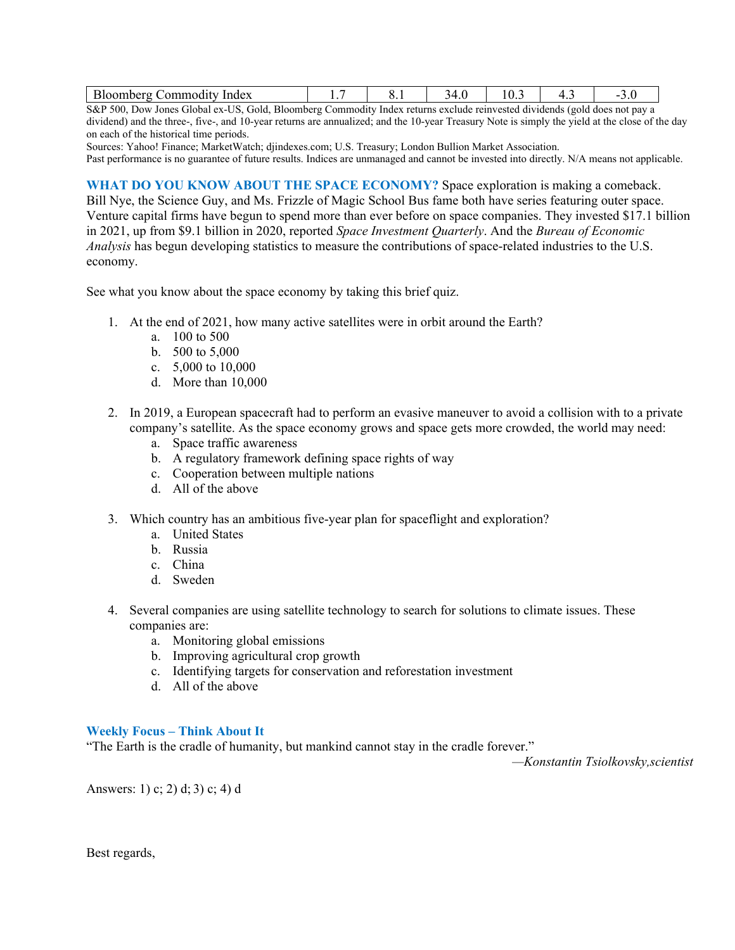S&P 500, Dow Jones Global ex-US, Gold, Bloomberg Commodity Index returns exclude reinvested dividends (gold does not pay a dividend) and the three-, five-, and 10-year returns are annualized; and the 10-year Treasury Note is simply the yield at the close of the day on each of the historical time periods.

Sources: Yahoo! Finance; MarketWatch; djindexes.com; U.S. Treasury; London Bullion Market Association.

Past performance is no guarantee of future results. Indices are unmanaged and cannot be invested into directly. N/A means not applicable.

**WHAT DO YOU KNOW ABOUT THE SPACE ECONOMY?** Space exploration is making a comeback. Bill Nye, the Science Guy, and Ms. Frizzle of Magic School Bus fame both have series featuring outer space. Venture capital firms have begun to spend more than ever before on space companies. They invested \$17.1 billion in 2021, up from \$9.1 billion in 2020, reported *Space Investment Quarterly*. And the *Bureau of Economic Analysis* has begun developing statistics to measure the contributions of space-related industries to the U.S. economy.

See what you know about the space economy by taking this brief quiz.

- 1. At the end of 2021, how many active satellites were in orbit around the Earth?
	- a. 100 to 500
	- b. 500 to 5,000
	- c. 5,000 to 10,000
	- d. More than 10,000
- 2. In 2019, a European spacecraft had to perform an evasive maneuver to avoid a collision with to a private company's satellite. As the space economy grows and space gets more crowded, the world may need:
	- a. Space traffic awareness
	- b. A regulatory framework defining space rights of way
	- c. Cooperation between multiple nations
	- d. All of the above
- 3. Which country has an ambitious five-year plan for spaceflight and exploration?
	- a. United States
	- b. Russia
	- c. China
	- d. Sweden
- 4. Several companies are using satellite technology to search for solutions to climate issues. These companies are:
	- a. Monitoring global emissions
	- b. Improving agricultural crop growth
	- c. Identifying targets for conservation and reforestation investment
	- d. All of the above

## **Weekly Focus – Think About It**

"The Earth is the cradle of humanity, but mankind cannot stay in the cradle forever."

*—Konstantin Tsiolkovsky,scientist* 

Answers: 1) c; 2) d; 3) c; 4) d

Best regards,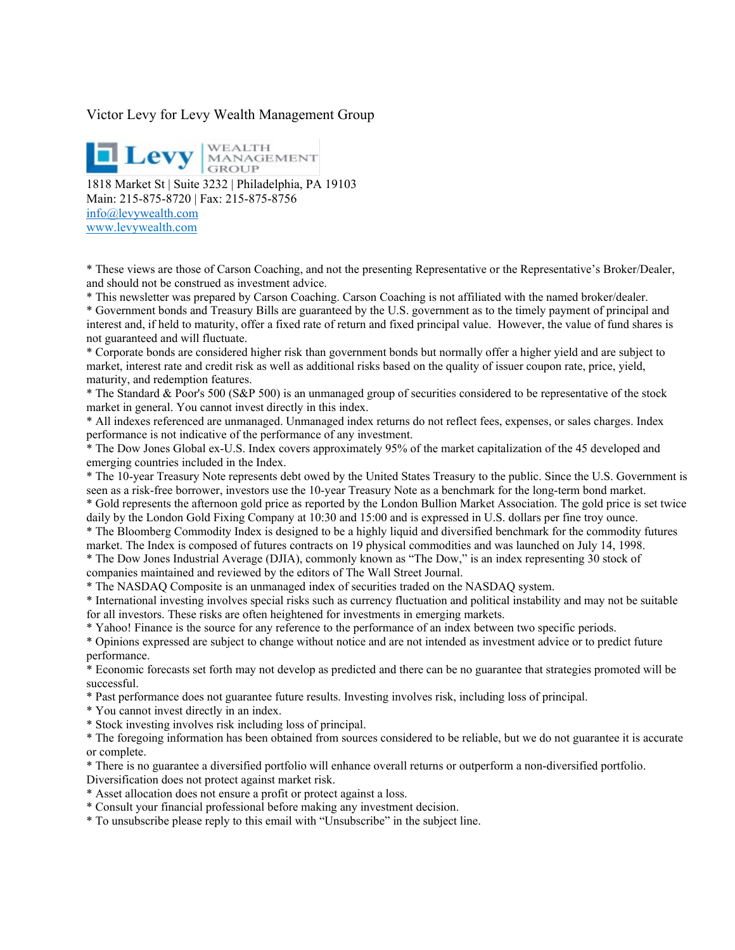## Victor Levy for Levy Wealth Management Group

**Levy** MANAGEMENT 1818 Market St | Suite 3232 | Philadelphia, PA 19103 Main: 215-875-8720 | Fax: 215-875-8756 [info@levywealth.com](mailto:info@levywealth.com) [www.levywealth.com](http://www.levywealth.com/)

\* These views are those of Carson Coaching, and not the presenting Representative or the Representative's Broker/Dealer, and should not be construed as investment advice.

\* This newsletter was prepared by Carson Coaching. Carson Coaching is not affiliated with the named broker/dealer. \* Government bonds and Treasury Bills are guaranteed by the U.S. government as to the timely payment of principal and interest and, if held to maturity, offer a fixed rate of return and fixed principal value. However, the value of fund shares is not guaranteed and will fluctuate.

\* Corporate bonds are considered higher risk than government bonds but normally offer a higher yield and are subject to market, interest rate and credit risk as well as additional risks based on the quality of issuer coupon rate, price, yield, maturity, and redemption features.

\* The Standard & Poor's 500 (S&P 500) is an unmanaged group of securities considered to be representative of the stock market in general. You cannot invest directly in this index.

\* All indexes referenced are unmanaged. Unmanaged index returns do not reflect fees, expenses, or sales charges. Index performance is not indicative of the performance of any investment.

\* The Dow Jones Global ex-U.S. Index covers approximately 95% of the market capitalization of the 45 developed and emerging countries included in the Index.

\* The 10-year Treasury Note represents debt owed by the United States Treasury to the public. Since the U.S. Government is seen as a risk-free borrower, investors use the 10-year Treasury Note as a benchmark for the long-term bond market.

\* Gold represents the afternoon gold price as reported by the London Bullion Market Association. The gold price is set twice daily by the London Gold Fixing Company at 10:30 and 15:00 and is expressed in U.S. dollars per fine troy ounce.

\* The Bloomberg Commodity Index is designed to be a highly liquid and diversified benchmark for the commodity futures market. The Index is composed of futures contracts on 19 physical commodities and was launched on July 14, 1998.

\* The Dow Jones Industrial Average (DJIA), commonly known as "The Dow," is an index representing 30 stock of companies maintained and reviewed by the editors of The Wall Street Journal.

\* The NASDAQ Composite is an unmanaged index of securities traded on the NASDAQ system.

\* International investing involves special risks such as currency fluctuation and political instability and may not be suitable for all investors. These risks are often heightened for investments in emerging markets.

\* Yahoo! Finance is the source for any reference to the performance of an index between two specific periods.

\* Opinions expressed are subject to change without notice and are not intended as investment advice or to predict future performance.

\* Economic forecasts set forth may not develop as predicted and there can be no guarantee that strategies promoted will be successful.

\* Past performance does not guarantee future results. Investing involves risk, including loss of principal.

\* You cannot invest directly in an index.

\* Stock investing involves risk including loss of principal.

\* The foregoing information has been obtained from sources considered to be reliable, but we do not guarantee it is accurate or complete.

\* There is no guarantee a diversified portfolio will enhance overall returns or outperform a non-diversified portfolio.

Diversification does not protect against market risk.

\* Asset allocation does not ensure a profit or protect against a loss.

\* Consult your financial professional before making any investment decision.

\* To unsubscribe please reply to this email with "Unsubscribe" in the subject line.